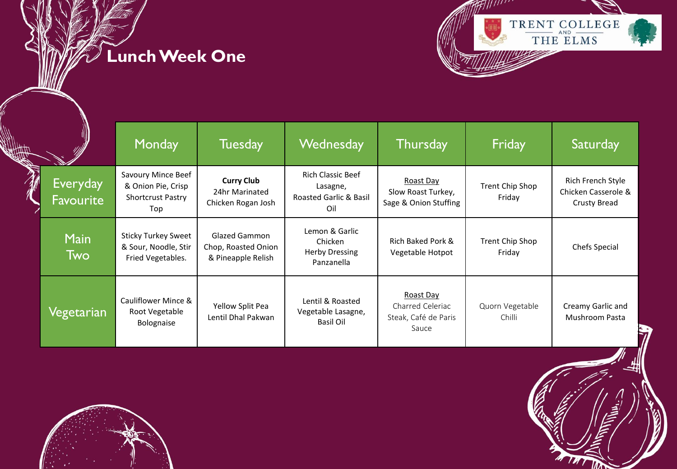**Lunch Week One**



|          |                                     | Monday                                                                      | <b>Tuesday</b>                                                    | Wednesday                                                                        | <b>Thursday</b>                                                | Friday                    | Saturday                                                        |
|----------|-------------------------------------|-----------------------------------------------------------------------------|-------------------------------------------------------------------|----------------------------------------------------------------------------------|----------------------------------------------------------------|---------------------------|-----------------------------------------------------------------|
| <b>K</b> | <b>Everyday</b><br><b>Favourite</b> | Savoury Mince Beef<br>& Onion Pie, Crisp<br><b>Shortcrust Pastry</b><br>Top | <b>Curry Club</b><br>24hr Marinated<br>Chicken Rogan Josh         | <b>Rich Classic Beef</b><br>Lasagne,<br><b>Roasted Garlic &amp; Basil</b><br>Oil | Roast Day<br>Slow Roast Turkey,<br>Sage & Onion Stuffing       | Trent Chip Shop<br>Friday | Rich French Style<br>Chicken Casserole &<br><b>Crusty Bread</b> |
|          | <b>Main</b><br>Two                  | <b>Sticky Turkey Sweet</b><br>& Sour, Noodle, Stir<br>Fried Vegetables.     | <b>Glazed Gammon</b><br>Chop, Roasted Onion<br>& Pineapple Relish | Lemon & Garlic<br>Chicken<br><b>Herby Dressing</b><br>Panzanella                 | Rich Baked Pork &<br>Vegetable Hotpot                          | Trent Chip Shop<br>Friday | <b>Chefs Special</b>                                            |
|          | Vegetarian                          | Cauliflower Mince &<br>Root Vegetable<br>Bolognaise                         | Yellow Split Pea<br>Lentil Dhal Pakwan                            | Lentil & Roasted<br>Vegetable Lasagne,<br>Basil Oil                              | Roast Day<br>Charred Celeriac<br>Steak, Café de Paris<br>Sauce | Quorn Vegetable<br>Chilli | Creamy Garlic and<br>Mushroom Pasta                             |



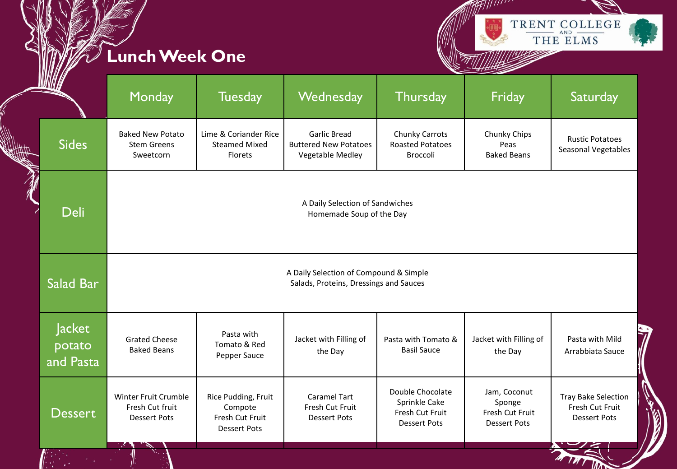## **Lunch Week One**



| <b>WIII</b>                   | Monday                                                         | <b>Tuesday</b>                                                           | Wednesday                                                                        | Thursday                                                                    | Friday                                                           | Saturday                                                             |
|-------------------------------|----------------------------------------------------------------|--------------------------------------------------------------------------|----------------------------------------------------------------------------------|-----------------------------------------------------------------------------|------------------------------------------------------------------|----------------------------------------------------------------------|
| <b>Sides</b>                  | <b>Baked New Potato</b><br><b>Stem Greens</b><br>Sweetcorn     | Lime & Coriander Rice<br><b>Steamed Mixed</b><br><b>Florets</b>          | <b>Garlic Bread</b><br><b>Buttered New Potatoes</b><br><b>Vegetable Medley</b>   | Chunky Carrots<br><b>Roasted Potatoes</b><br><b>Broccoli</b>                | Chunky Chips<br>Peas<br><b>Baked Beans</b>                       | <b>Rustic Potatoes</b><br>Seasonal Vegetables                        |
| <b>Deli</b>                   |                                                                |                                                                          | A Daily Selection of Sandwiches<br>Homemade Soup of the Day                      |                                                                             |                                                                  |                                                                      |
| Salad Bar                     |                                                                |                                                                          | A Daily Selection of Compound & Simple<br>Salads, Proteins, Dressings and Sauces |                                                                             |                                                                  |                                                                      |
| Jacket<br>potato<br>and Pasta | <b>Grated Cheese</b><br><b>Baked Beans</b>                     | Pasta with<br>Tomato & Red<br>Pepper Sauce                               | Jacket with Filling of<br>the Day                                                | Pasta with Tomato &<br><b>Basil Sauce</b>                                   | Jacket with Filling of<br>the Day                                | Pasta with Mild<br>Arrabbiata Sauce                                  |
| <b>Dessert</b>                | Winter Fruit Crumble<br>Fresh Cut fruit<br><b>Dessert Pots</b> | Rice Pudding, Fruit<br>Compote<br>Fresh Cut Fruit<br><b>Dessert Pots</b> | Caramel Tart<br>Fresh Cut Fruit<br><b>Dessert Pots</b>                           | Double Chocolate<br>Sprinkle Cake<br>Fresh Cut Fruit<br><b>Dessert Pots</b> | Jam, Coconut<br>Sponge<br>Fresh Cut Fruit<br><b>Dessert Pots</b> | <b>Tray Bake Selection</b><br>Fresh Cut Fruit<br><b>Dessert Pots</b> |
|                               |                                                                |                                                                          |                                                                                  |                                                                             |                                                                  |                                                                      |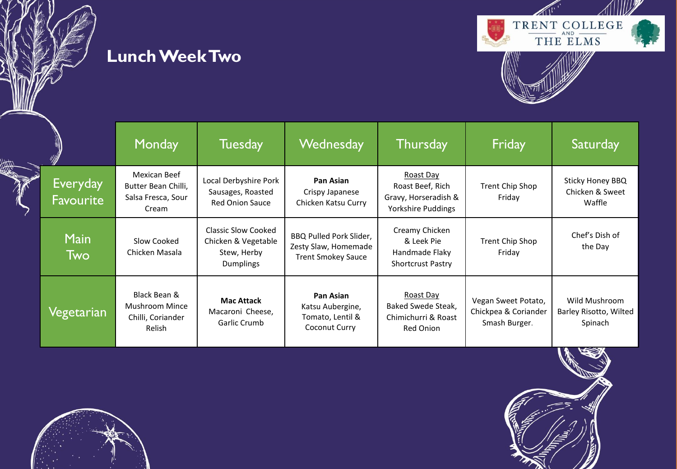







|                              | <b>Monday</b>                                                               | <b>Tuesday</b>                                                                       | <b>Wednesday</b>                                                             | <b>Thursday</b>                                                             | Friday                                                       | Saturday                                           |
|------------------------------|-----------------------------------------------------------------------------|--------------------------------------------------------------------------------------|------------------------------------------------------------------------------|-----------------------------------------------------------------------------|--------------------------------------------------------------|----------------------------------------------------|
| Everyday<br><b>Favourite</b> | Mexican Beef<br>Butter Bean Chilli,<br>Salsa Fresca, Sour<br>Cream          | Local Derbyshire Pork<br>Sausages, Roasted<br><b>Red Onion Sauce</b>                 | Pan Asian<br>Crispy Japanese<br>Chicken Katsu Curry                          | Roast Day<br>Roast Beef, Rich<br>Gravy, Horseradish &<br>Yorkshire Puddings | Trent Chip Shop<br>Friday                                    | Sticky Honey BBQ<br>Chicken & Sweet<br>Waffle      |
| <b>Main</b><br>Two           | Slow Cooked<br>Chicken Masala                                               | <b>Classic Slow Cooked</b><br>Chicken & Vegetable<br>Stew, Herby<br><b>Dumplings</b> | BBQ Pulled Pork Slider,<br>Zesty Slaw, Homemade<br><b>Trent Smokey Sauce</b> | Creamy Chicken<br>& Leek Pie<br>Handmade Flaky<br><b>Shortcrust Pastry</b>  | Trent Chip Shop<br>Friday                                    | Chef's Dish of<br>the Day                          |
| Vegetarian                   | Black Bean &<br><b>Mushroom Mince</b><br>Chilli, Coriander<br><b>Relish</b> | <b>Mac Attack</b><br>Macaroni Cheese,<br>Garlic Crumb                                | Pan Asian<br>Katsu Aubergine,<br>Tomato, Lentil &<br>Coconut Curry           | Roast Day<br>Baked Swede Steak,<br>Chimichurri & Roast<br>Red Onion         | Vegan Sweet Potato,<br>Chickpea & Coriander<br>Smash Burger. | Wild Mushroom<br>Barley Risotto, Wilted<br>Spinach |

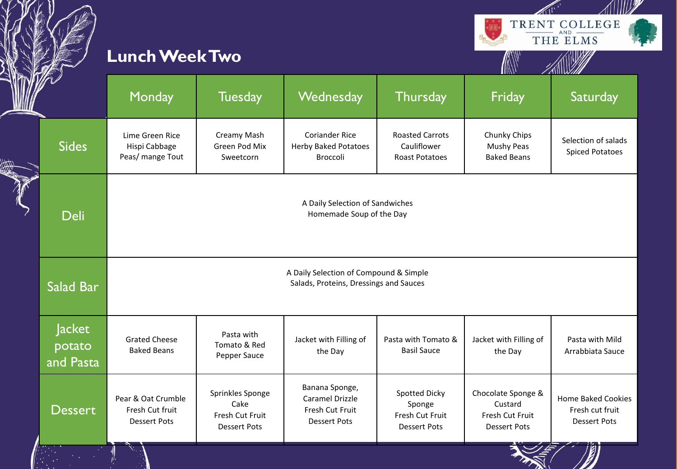|                               | <b>Lunch Week Two</b>                                        |                                                                                  |                                                                             |                                                                   | A                                                                       | TRENT COLLEGE<br>$AND -$<br>THE ELMS                         |  |  |
|-------------------------------|--------------------------------------------------------------|----------------------------------------------------------------------------------|-----------------------------------------------------------------------------|-------------------------------------------------------------------|-------------------------------------------------------------------------|--------------------------------------------------------------|--|--|
|                               | Monday                                                       | <b>Tuesday</b>                                                                   | Wednesday                                                                   | <b>Thursday</b>                                                   | Friday                                                                  | Saturday                                                     |  |  |
| <b>Sides</b>                  | Lime Green Rice<br>Hispi Cabbage<br>Peas/ mange Tout         | Creamy Mash<br>Green Pod Mix<br>Sweetcorn                                        | <b>Coriander Rice</b><br><b>Herby Baked Potatoes</b><br>Broccoli            | <b>Roasted Carrots</b><br>Cauliflower<br>Roast Potatoes           | Chunky Chips<br><b>Mushy Peas</b><br><b>Baked Beans</b>                 | Selection of salads<br><b>Spiced Potatoes</b>                |  |  |
| <b>Deli</b>                   |                                                              | A Daily Selection of Sandwiches<br>Homemade Soup of the Day                      |                                                                             |                                                                   |                                                                         |                                                              |  |  |
| Salad Bar                     |                                                              | A Daily Selection of Compound & Simple<br>Salads, Proteins, Dressings and Sauces |                                                                             |                                                                   |                                                                         |                                                              |  |  |
| Jacket<br>potato<br>and Pasta | <b>Grated Cheese</b><br><b>Baked Beans</b>                   | Pasta with<br>Tomato & Red<br>Pepper Sauce                                       | Jacket with Filling of<br>the Day                                           | Pasta with Tomato &<br><b>Basil Sauce</b>                         | Jacket with Filling of<br>the Day                                       | Pasta with Mild<br>Arrabbiata Sauce                          |  |  |
| <b>Dessert</b>                | Pear & Oat Crumble<br>Fresh Cut fruit<br><b>Dessert Pots</b> | Sprinkles Sponge<br>Cake<br>Fresh Cut Fruit<br><b>Dessert Pots</b>               | Banana Sponge,<br>Caramel Drizzle<br>Fresh Cut Fruit<br><b>Dessert Pots</b> | Spotted Dicky<br>Sponge<br>Fresh Cut Fruit<br><b>Dessert Pots</b> | Chocolate Sponge &<br>Custard<br>Fresh Cut Fruit<br><b>Dessert Pots</b> | Home Baked Cookies<br>Fresh cut fruit<br><b>Dessert Pots</b> |  |  |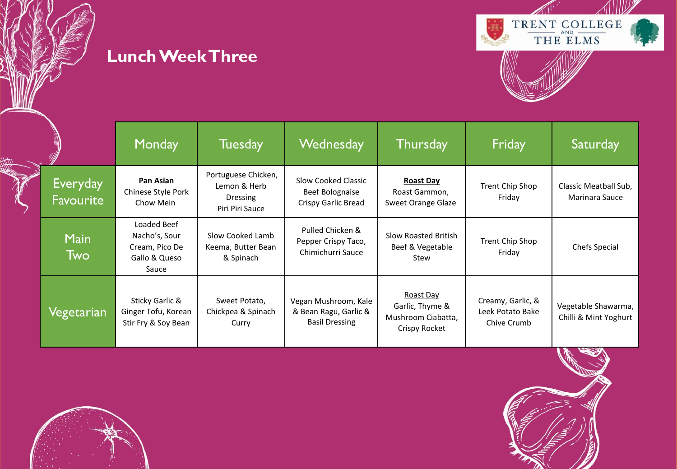**Lunch Week Three**



|                              | <b>Monday</b>                                                            | <b>Tuesday</b>                                                     | Wednesday                                                              | <b>Thursday</b>                                                     | Friday                                               | Saturday                                     |
|------------------------------|--------------------------------------------------------------------------|--------------------------------------------------------------------|------------------------------------------------------------------------|---------------------------------------------------------------------|------------------------------------------------------|----------------------------------------------|
| Everyday<br><b>Favourite</b> | Pan Asian<br>Chinese Style Pork<br>Chow Mein                             | Portuguese Chicken,<br>Lemon & Herb<br>Dressing<br>Piri Piri Sauce | Slow Cooked Classic<br>Beef Bolognaise<br>Crispy Garlic Bread          | <b>Roast Day</b><br>Roast Gammon,<br>Sweet Orange Glaze             | Trent Chip Shop<br>Friday                            | Classic Meatball Sub,<br>Marinara Sauce      |
| <b>Main</b><br><u>l Twol</u> | Loaded Beef<br>Nacho's, Sour<br>Cream, Pico De<br>Gallo & Queso<br>Sauce | Slow Cooked Lamb<br>Keema, Butter Bean<br>& Spinach                | Pulled Chicken &<br>Pepper Crispy Taco,<br>Chimichurri Sauce           | Slow Roasted British<br>Beef & Vegetable<br>Stew                    | Trent Chip Shop<br>Friday                            | Chefs Special                                |
| Vegetarian                   | Sticky Garlic &<br>Ginger Tofu, Korean<br>Stir Fry & Soy Bean            | Sweet Potato,<br>Chickpea & Spinach<br>Curry                       | Vegan Mushroom, Kale<br>& Bean Ragu, Garlic &<br><b>Basil Dressing</b> | Roast Day<br>Garlic, Thyme &<br>Mushroom Ciabatta,<br>Crispy Rocket | Creamy, Garlic, &<br>Leek Potato Bake<br>Chive Crumb | Vegetable Shawarma,<br>Chilli & Mint Yoghurt |



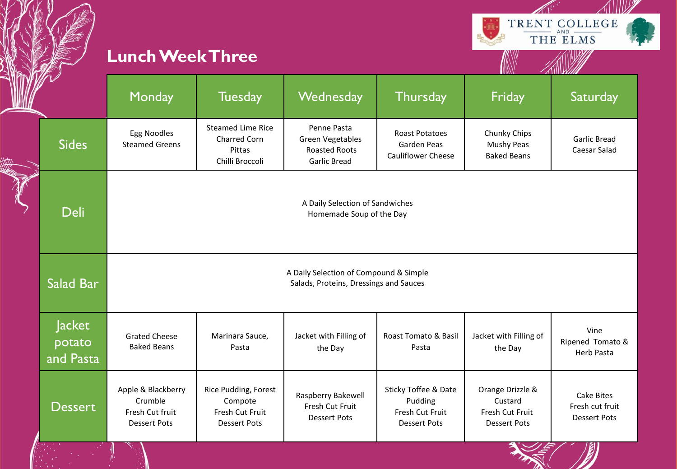

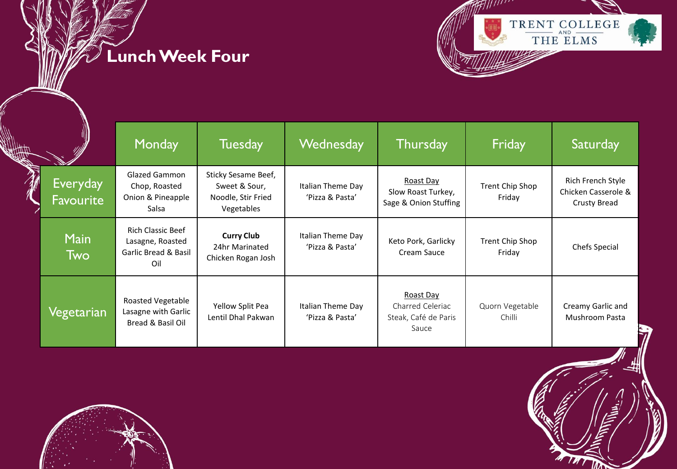**Lunch Week Four**



|                              | <b>Monday</b>                                                                          | <b>Tuesday</b>                                                           | Wednesday                            | <b>Thursday</b>                                                | Friday                    | Saturday                                                        |
|------------------------------|----------------------------------------------------------------------------------------|--------------------------------------------------------------------------|--------------------------------------|----------------------------------------------------------------|---------------------------|-----------------------------------------------------------------|
| <b>Everyday</b><br>Favourite | <b>Glazed Gammon</b><br>Chop, Roasted<br>Onion & Pineapple<br>Salsa                    | Sticky Sesame Beef,<br>Sweet & Sour,<br>Noodle, Stir Fried<br>Vegetables | Italian Theme Day<br>'Pizza & Pasta' | Roast Day<br>Slow Roast Turkey,<br>Sage & Onion Stuffing       | Trent Chip Shop<br>Friday | Rich French Style<br>Chicken Casserole &<br><b>Crusty Bread</b> |
| <b>Main</b><br><b>Two</b>    | <b>Rich Classic Beef</b><br>Lasagne, Roasted<br><b>Garlic Bread &amp; Basil</b><br>Oil | <b>Curry Club</b><br>24hr Marinated<br>Chicken Rogan Josh                | Italian Theme Day<br>'Pizza & Pasta' | Keto Pork, Garlicky<br>Cream Sauce                             | Trent Chip Shop<br>Friday | Chefs Special                                                   |
| Vegetarian                   | Roasted Vegetable<br>Lasagne with Garlic<br>Bread & Basil Oil                          | Yellow Split Pea<br>Lentil Dhal Pakwan                                   | Italian Theme Day<br>'Pizza & Pasta' | Roast Day<br>Charred Celeriac<br>Steak, Café de Paris<br>Sauce | Quorn Vegetable<br>Chilli | Creamy Garlic and<br>Mushroom Pasta                             |



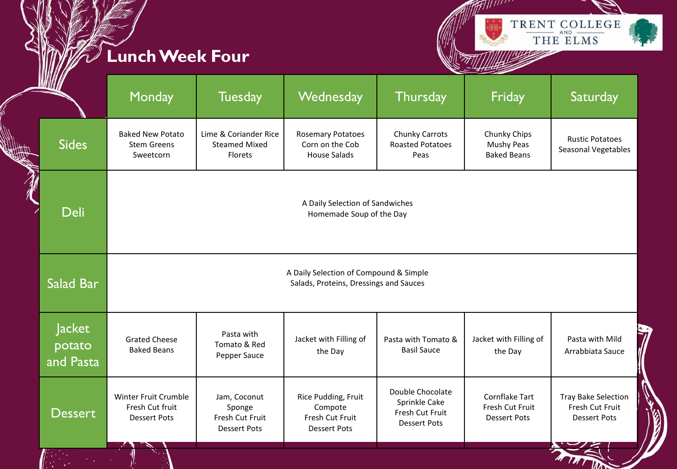## **Lunch Week Four**

 $\mathbb{R}^n$ 



M THT

|                                                                     | WWW                                  | Monday                                                         | <b>Tuesday</b>                                                                   | Wednesday                                                                | <b>Thursday</b>                                                             | Friday                                                          | Saturday                                                             |  |
|---------------------------------------------------------------------|--------------------------------------|----------------------------------------------------------------|----------------------------------------------------------------------------------|--------------------------------------------------------------------------|-----------------------------------------------------------------------------|-----------------------------------------------------------------|----------------------------------------------------------------------|--|
| <b>SULTER</b>                                                       | <b>Sides</b>                         | <b>Baked New Potato</b><br><b>Stem Greens</b><br>Sweetcorn     | Lime & Coriander Rice<br><b>Steamed Mixed</b><br>Florets                         | <b>Rosemary Potatoes</b><br>Corn on the Cob<br><b>House Salads</b>       | Chunky Carrots<br><b>Roasted Potatoes</b><br>Peas                           | Chunky Chips<br>Mushy Peas<br><b>Baked Beans</b>                | <b>Rustic Potatoes</b><br>Seasonal Vegetables                        |  |
| A Daily Selection of Sandwiches<br>Deli<br>Homemade Soup of the Day |                                      |                                                                |                                                                                  |                                                                          |                                                                             |                                                                 |                                                                      |  |
|                                                                     | Salad Bar                            |                                                                | A Daily Selection of Compound & Simple<br>Salads, Proteins, Dressings and Sauces |                                                                          |                                                                             |                                                                 |                                                                      |  |
|                                                                     | <b>Jacket</b><br>potato<br>and Pasta | <b>Grated Cheese</b><br><b>Baked Beans</b>                     | Pasta with<br>Tomato & Red<br>Pepper Sauce                                       | Jacket with Filling of<br>the Day                                        | Pasta with Tomato &<br><b>Basil Sauce</b>                                   | Jacket with Filling of<br>the Day                               | Pasta with Mild<br>Arrabbiata Sauce                                  |  |
|                                                                     | <b>Dessert</b>                       | Winter Fruit Crumble<br>Fresh Cut fruit<br><b>Dessert Pots</b> | Jam, Coconut<br>Sponge<br>Fresh Cut Fruit<br><b>Dessert Pots</b>                 | Rice Pudding, Fruit<br>Compote<br>Fresh Cut Fruit<br><b>Dessert Pots</b> | Double Chocolate<br>Sprinkle Cake<br>Fresh Cut Fruit<br><b>Dessert Pots</b> | <b>Cornflake Tart</b><br>Fresh Cut Fruit<br><b>Dessert Pots</b> | <b>Tray Bake Selection</b><br>Fresh Cut Fruit<br><b>Dessert Pots</b> |  |
|                                                                     | $\mathcal{U}$ .                      |                                                                |                                                                                  |                                                                          |                                                                             |                                                                 |                                                                      |  |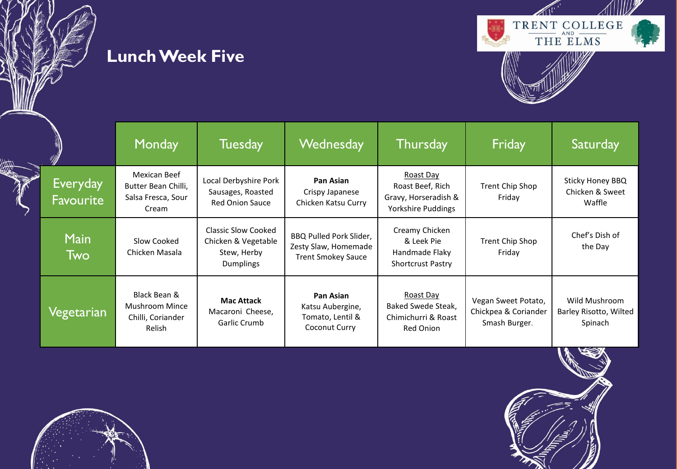





|                                     | Monday                                                             | <b>Tuesday</b>                                                                | <b>Wednesday</b>                                                             | <b>Thursday</b>                                                             | Friday                                                       | Saturday                                           |
|-------------------------------------|--------------------------------------------------------------------|-------------------------------------------------------------------------------|------------------------------------------------------------------------------|-----------------------------------------------------------------------------|--------------------------------------------------------------|----------------------------------------------------|
| <b>Everyday</b><br><b>Favourite</b> | Mexican Beef<br>Butter Bean Chilli,<br>Salsa Fresca, Sour<br>Cream | Local Derbyshire Pork<br>Sausages, Roasted<br><b>Red Onion Sauce</b>          | Pan Asian<br>Crispy Japanese<br>Chicken Katsu Curry                          | Roast Day<br>Roast Beef, Rich<br>Gravy, Horseradish &<br>Yorkshire Puddings | Trent Chip Shop<br>Friday                                    | Sticky Honey BBQ<br>Chicken & Sweet<br>Waffle      |
| <b>Main</b><br><b>Two</b>           | Slow Cooked<br>Chicken Masala                                      | <b>Classic Slow Cooked</b><br>Chicken & Vegetable<br>Stew, Herby<br>Dumplings | BBQ Pulled Pork Slider,<br>Zesty Slaw, Homemade<br><b>Trent Smokey Sauce</b> | Creamy Chicken<br>& Leek Pie<br>Handmade Flaky<br><b>Shortcrust Pastry</b>  | Trent Chip Shop<br>Friday                                    | Chef's Dish of<br>the Day                          |
| Vegetarian                          | Black Bean &<br>Mushroom Mince<br>Chilli, Coriander<br>Relish      | <b>Mac Attack</b><br>Macaroni Cheese,<br>Garlic Crumb                         | Pan Asian<br>Katsu Aubergine,<br>Tomato, Lentil &<br>Coconut Curry           | Roast Day<br>Baked Swede Steak,<br>Chimichurri & Roast<br>Red Onion         | Vegan Sweet Potato,<br>Chickpea & Coriander<br>Smash Burger. | Wild Mushroom<br>Barley Risotto, Wilted<br>Spinach |